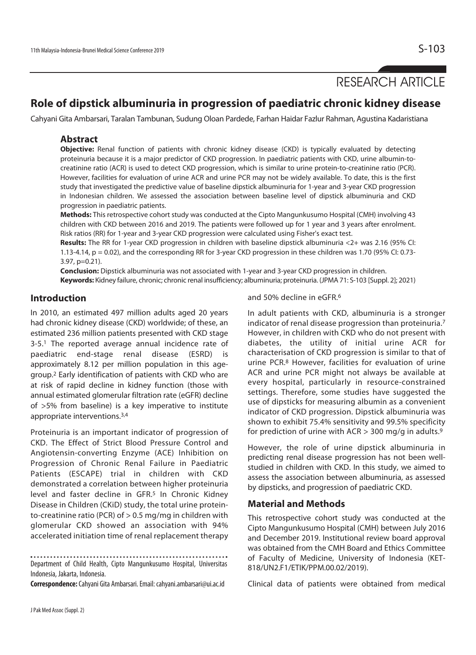# RESEARCH ARTICLE

## **Role of dipstick albuminuria in progression of paediatric chronic kidney disease**

Cahyani Gita Ambarsari, Taralan Tambunan, Sudung Oloan Pardede, Farhan Haidar Fazlur Rahman, Agustina Kadaristiana

#### **Abstract**

**Objective:** Renal function of patients with chronic kidney disease (CKD) is typically evaluated by detecting proteinuria because it is a major predictor of CKD progression. In paediatric patients with CKD, urine albumin-tocreatinine ratio (ACR) is used to detect CKD progression, which is similar to urine protein-to-creatinine ratio (PCR). However, facilities for evaluation of urine ACR and urine PCR may not be widely available. To date, this is the first study that investigated the predictive value of baseline dipstick albuminuria for 1-year and 3-year CKD progression in Indonesian children. We assessed the association between baseline level of dipstick albuminuria and CKD progression in paediatric patients.

**Methods:** This retrospective cohort study was conducted at the Cipto Mangunkusumo Hospital (CMH) involving 43 children with CKD between 2016 and 2019. The patients were followed up for 1 year and 3 years after enrolment. Risk ratios (RR) for 1-year and 3-year CKD progression were calculated using Fisher's exact test.

**Results:** The RR for 1-year CKD progression in children with baseline dipstick albuminuria <2+ was 2.16 (95% CI: 1.13-4.14, p = 0.02), and the corresponding RR for 3-year CKD progression in these children was 1.70 (95% CI: 0.73- 3.97, p=0.21).

**Conclusion:** Dipstick albuminuria was not associated with 1-year and 3-year CKD progression in children. **Keywords:** Kidney failure, chronic; chronic renal insufficiency; albuminuria; proteinuria. (JPMA 71: S-103 [Suppl. 2]; 2021)

#### **Introduction**

In 2010, an estimated 497 million adults aged 20 years had chronic kidney disease (CKD) worldwide; of these, an estimated 236 million patients presented with CKD stage 3-5.1 The reported average annual incidence rate of paediatric end-stage renal disease (ESRD) is approximately 8.12 per million population in this agegroup.2 Early identification of patients with CKD who are at risk of rapid decline in kidney function (those with annual estimated glomerular filtration rate (eGFR) decline of >5% from baseline) is a key imperative to institute appropriate interventions.3,4

Proteinuria is an important indicator of progression of CKD. The Effect of Strict Blood Pressure Control and Angiotensin-converting Enzyme (ACE) Inhibition on Progression of Chronic Renal Failure in Paediatric Patients (ESCAPE) trial in children with CKD demonstrated a correlation between higher proteinuria level and faster decline in GFR.<sup>5</sup> In Chronic Kidney Disease in Children (CKiD) study, the total urine proteinto-creatinine ratio (PCR) of > 0.5 mg/mg in children with glomerular CKD showed an association with 94% accelerated initiation time of renal replacement therapy

Department of Child Health, Cipto Mangunkusumo Hospital, Universitas

Indonesia, Jakarta, Indonesia.

**Correspondence:** Cahyani Gita Ambarsari. Email: cahyani.ambarsari@ui.ac.id

and 50% decline in eGFR.6

In adult patients with CKD, albuminuria is a stronger indicator of renal disease progression than proteinuria.7 However, in children with CKD who do not present with diabetes, the utility of initial urine ACR for characterisation of CKD progression is similar to that of urine PCR.8 However, facilities for evaluation of urine ACR and urine PCR might not always be available at every hospital, particularly in resource-constrained settings. Therefore, some studies have suggested the use of dipsticks for measuring albumin as a convenient indicator of CKD progression. Dipstick albuminuria was shown to exhibit 75.4% sensitivity and 99.5% specificity for prediction of urine with ACR  $>$  300 mg/g in adults.<sup>9</sup>

However, the role of urine dipstick albuminuria in predicting renal disease progression has not been wellstudied in children with CKD. In this study, we aimed to assess the association between albuminuria, as assessed by dipsticks, and progression of paediatric CKD.

### **Material and Methods**

This retrospective cohort study was conducted at the Cipto Mangunkusumo Hospital (CMH) between July 2016 and December 2019. Institutional review board approval was obtained from the CMH Board and Ethics Committee of Faculty of Medicine, University of Indonesia (KET-818/UN2.F1/ETIK/PPM.00.02/2019).

Clinical data of patients were obtained from medical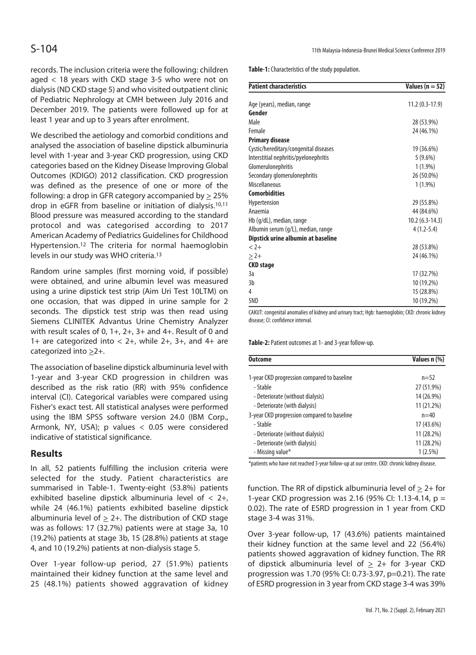records. The inclusion criteria were the following: children aged < 18 years with CKD stage 3-5 who were not on dialysis (ND CKD stage 5) and who visited outpatient clinic of Pediatric Nephrology at CMH between July 2016 and December 2019. The patients were followed up for at least 1 year and up to 3 years after enrolment.

We described the aetiology and comorbid conditions and analysed the association of baseline dipstick albuminuria level with 1-year and 3-year CKD progression, using CKD categories based on the Kidney Disease Improving Global Outcomes (KDIGO) 2012 classification. CKD progression was defined as the presence of one or more of the following: a drop in GFR category accompanied by  $\geq$  25% drop in eGFR from baseline or initiation of dialysis.10,11 Blood pressure was measured according to the standard protocol and was categorised according to 2017 American Academy of Pediatrics Guidelines for Childhood Hypertension.12 The criteria for normal haemoglobin levels in our study was WHO criteria.13

Random urine samples (first morning void, if possible) were obtained, and urine albumin level was measured using a urine dipstick test strip (Aim Uri Test 10LTM) on one occasion, that was dipped in urine sample for 2 seconds. The dipstick test strip was then read using Siemens CLINITEK Advantus Urine Chemistry Analyzer with result scales of 0, 1+, 2+, 3+ and 4+. Result of 0 and 1+ are categorized into < 2+, while 2+, 3+, and 4+ are categorized into >2+.

The association of baseline dipstick albuminuria level with 1-year and 3-year CKD progression in children was described as the risk ratio (RR) with 95% confidence interval (CI). Categorical variables were compared using Fisher's exact test. All statistical analyses were performed using the IBM SPSS software version 24.0 (IBM Corp., Armonk, NY, USA); p values < 0.05 were considered indicative of statistical significance.

### **Results**

In all, 52 patients fulfilling the inclusion criteria were selected for the study. Patient characteristics are summarised in Table-1. Twenty-eight (53.8%) patients exhibited baseline dipstick albuminuria level of < 2+, while 24 (46.1%) patients exhibited baseline dipstick albuminuria level of  $\geq$  2+. The distribution of CKD stage was as follows: 17 (32.7%) patients were at stage 3a, 10 (19.2%) patients at stage 3b, 15 (28.8%) patients at stage 4, and 10 (19.2%) patients at non-dialysis stage 5.

Over 1-year follow-up period, 27 (51.9%) patients maintained their kidney function at the same level and 25 (48.1%) patients showed aggravation of kidney **Table-1:** Characteristics of the study population.

| <b>Patient characteristics</b>        | Values ( $n = 52$ ) |
|---------------------------------------|---------------------|
| Age (years), median, range            | $11.2(0.3-17.9)$    |
| Gender                                |                     |
| Male                                  | 28 (53.9%)          |
| Female                                | 24 (46.1%)          |
| <b>Primary disease</b>                |                     |
| Cystic/hereditary/congenital diseases | 19 (36.6%)          |
| Interstitial nephritis/pyelonephritis | $5(9.6\%)$          |
| Glomerulonephritis                    | $1(1.9\%)$          |
| Secondary glomerulonephritis          | 26 (50.0%)          |
| Miscellaneous                         | $1(1.9\%)$          |
| <b>Comorbidities</b>                  |                     |
| Hypertension                          | 29 (55.8%)          |
| Anaemia                               | 44 (84.6%)          |
| Hb (g/dL), median, range              | $10.2(6.3-14.3)$    |
| Albumin serum (g/L), median, range    | $4(1.2-5.4)$        |
| Dipstick urine albumin at baseline    |                     |
| $2 +$                                 | 28 (53.8%)          |
| $> 2+$                                | 24 (46.1%)          |
| <b>CKD</b> stage                      |                     |
| 3a                                    | 17 (32.7%)          |
| 3 <sub>b</sub>                        | 10 (19.2%)          |
| 4                                     | 15 (28.8%)          |
| 5ND                                   | 10 (19.2%)          |

CAKUT: congenital anomalies of kidney and urinary tract; Hgb: haemoglobin; CKD: chronic kidney disease; CI: confidence interval.

**Table-2:** Patient outcomes at 1- and 3-year follow-up.

| <b>Outcome</b>                              | Values n (%) |
|---------------------------------------------|--------------|
| 1-year CKD progression compared to baseline | $n=52$       |
| - Stable                                    | 27 (51.9%)   |
| - Deteriorate (without dialysis)            | 14 (26.9%)   |
| - Deteriorate (with dialysis)               | 11 (21.2%)   |
| 3-year CKD progression compared to baseline | $n = 40$     |
| - Stable                                    | 17 (43.6%)   |
| - Deteriorate (without dialysis)            | 11 (28.2%)   |
| - Deteriorate (with dialysis)               | 11 (28.2%)   |
| - Missing value*                            | $1(2.5\%)$   |

\*patients who have not reached 3-year follow-up at our centre. CKD: chronic kidney disease.

function. The RR of dipstick albuminuria level of  $\geq 2+$  for 1-year CKD progression was 2.16 (95% CI: 1.13-4.14, p = 0.02). The rate of ESRD progression in 1 year from CKD stage 3-4 was 31%.

Over 3-year follow-up, 17 (43.6%) patients maintained their kidney function at the same level and 22 (56.4%) patients showed aggravation of kidney function. The RR of dipstick albuminuria level of  $\geq$  2+ for 3-year CKD progression was 1.70 (95% CI: 0.73-3.97, p=0.21). The rate of ESRD progression in 3 year from CKD stage 3-4 was 39%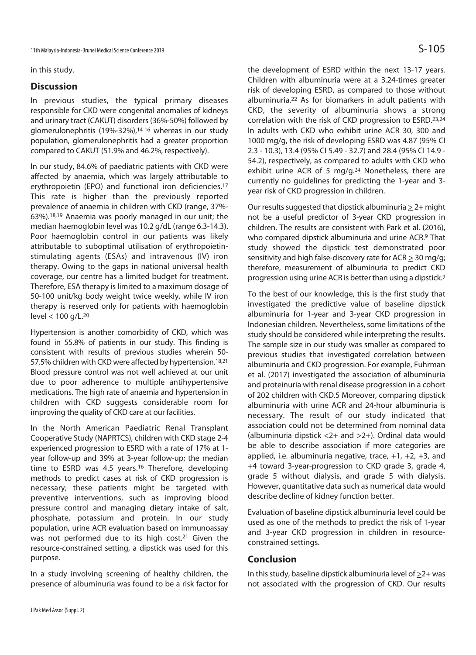in this study.

### **Discussion**

In previous studies, the typical primary diseases responsible for CKD were congenital anomalies of kidneys and urinary tract (CAKUT) disorders (36%-50%) followed by glomerulonephritis (19%-32%),14-16 whereas in our study population, glomerulonephritis had a greater proportion compared to CAKUT (51.9% and 46.2%, respectively).

In our study, 84.6% of paediatric patients with CKD were affected by anaemia, which was largely attributable to erythropoietin (EPO) and functional iron deficiencies.17 This rate is higher than the previously reported prevalence of anaemia in children with CKD (range, 37%- 63%).18,19 Anaemia was poorly managed in our unit; the median haemoglobin level was 10.2 g/dL (range 6.3-14.3). Poor haemoglobin control in our patients was likely attributable to suboptimal utilisation of erythropoietinstimulating agents (ESAs) and intravenous (IV) iron therapy. Owing to the gaps in national universal health coverage, our centre has a limited budget for treatment. Therefore, ESA therapy is limited to a maximum dosage of 50-100 unit/kg body weight twice weekly, while IV iron therapy is reserved only for patients with haemoglobin level < 100 g/L.20

Hypertension is another comorbidity of CKD, which was found in 55.8% of patients in our study. This finding is consistent with results of previous studies wherein 50- 57.5% children with CKD were affected by hypertension.<sup>18,21</sup> Blood pressure control was not well achieved at our unit due to poor adherence to multiple antihypertensive medications. The high rate of anaemia and hypertension in children with CKD suggests considerable room for improving the quality of CKD care at our facilities.

In the North American Paediatric Renal Transplant Cooperative Study (NAPRTCS), children with CKD stage 2-4 experienced progression to ESRD with a rate of 17% at 1 year follow-up and 39% at 3-year follow-up; the median time to ESRD was 4.5 years.<sup>16</sup> Therefore, developing methods to predict cases at risk of CKD progression is necessary; these patients might be targeted with preventive interventions, such as improving blood pressure control and managing dietary intake of salt, phosphate, potassium and protein. In our study population, urine ACR evaluation based on immunoassay was not performed due to its high cost.<sup>21</sup> Given the resource-constrained setting, a dipstick was used for this purpose.

In a study involving screening of healthy children, the presence of albuminuria was found to be a risk factor for the development of ESRD within the next 13-17 years. Children with albuminuria were at a 3.24-times greater risk of developing ESRD, as compared to those without albuminuria.22 As for biomarkers in adult patients with CKD, the severity of albuminuria shows a strong correlation with the risk of CKD progression to ESRD.23,24 In adults with CKD who exhibit urine ACR 30, 300 and 1000 mg/g, the risk of developing ESRD was 4.87 (95% CI 2.3 - 10.3), 13.4 (95% CI 5.49 - 32.7) and 28.4 (95% CI 14.9 - 54.2), respectively, as compared to adults with CKD who exhibit urine ACR of 5 mg/g.<sup>24</sup> Nonetheless, there are currently no guidelines for predicting the 1-year and 3 year risk of CKD progression in children.

Our results suggested that dipstick albuminuria > 2+ might not be a useful predictor of 3-year CKD progression in children. The results are consistent with Park et al. (2016), who compared dipstick albuminuria and urine ACR.9 That study showed the dipstick test demonstrated poor sensitivity and high false-discovery rate for ACR > 30 mg/g; therefore, measurement of albuminuria to predict CKD progression using urine ACR is better than using a dipstick.9

To the best of our knowledge, this is the first study that investigated the predictive value of baseline dipstick albuminuria for 1-year and 3-year CKD progression in Indonesian children. Nevertheless, some limitations of the study should be considered while interpreting the results. The sample size in our study was smaller as compared to previous studies that investigated correlation between albuminuria and CKD progression. For example, Fuhrman et al. (2017) investigated the association of albuminuria and proteinuria with renal disease progression in a cohort of 202 children with CKD.5 Moreover, comparing dipstick albuminuria with urine ACR and 24-hour albuminuria is necessary. The result of our study indicated that association could not be determined from nominal data (albuminuria dipstick  $<$ 2+ and  $\geq$ 2+). Ordinal data would be able to describe association if more categories are applied, i.e. albuminuria negative, trace,  $+1$ ,  $+2$ ,  $+3$ , and +4 toward 3-year-progression to CKD grade 3, grade 4, grade 5 without dialysis, and grade 5 with dialysis. However, quantitative data such as numerical data would describe decline of kidney function better.

Evaluation of baseline dipstick albuminuria level could be used as one of the methods to predict the risk of 1-year and 3-year CKD progression in children in resourceconstrained settings.

### **Conclusion**

In this study, baseline dipstick albuminuria level of  $\geq$ 2+ was not associated with the progression of CKD. Our results